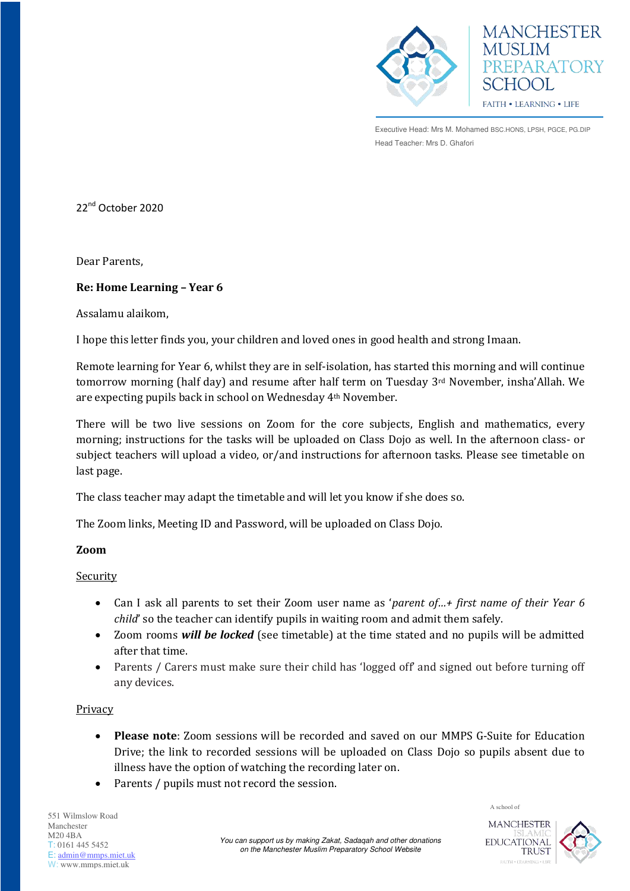



Executive Head: Mrs M. Mohamed BSC.HONS, LPSH, PGCE, PG.DIP Head Teacher: Mrs D. Ghafori

22<sup>nd</sup> October 2020

Dear Parents,

# **Re: Home Learning – Year 6**

Assalamu alaikom,

I hope this letter finds you, your children and loved ones in good health and strong Imaan.

Remote learning for Year 6, whilst they are in self-isolation, has started this morning and will continue tomorrow morning (half day) and resume after half term on Tuesday 3<sup>rd</sup> November, insha'Allah. We are expecting pupils back in school on Wednesday 4th November.

There will be two live sessions on Zoom for the core subjects, English and mathematics, every morning; instructions for the tasks will be uploaded on Class Dojo as well. In the afternoon class- or subject teachers will upload a video, or/and instructions for afternoon tasks. Please see timetable on last page.

The class teacher may adapt the timetable and will let you know if she does so.

The Zoom links, Meeting ID and Password, will be uploaded on Class Dojo.

### **Zoom**

### Security

- Can I ask all parents to set their Zoom user name as '*parent of…+ first name of their Year 6 child*' so the teacher can identify pupils in waiting room and admit them safely.
- Zoom rooms *will be locked* (see timetable) at the time stated and no pupils will be admitted after that time.
- Parents / Carers must make sure their child has 'logged off' and signed out before turning off any devices.

### Privacy

- **Please note**: Zoom sessions will be recorded and saved on our MMPS G-Suite for Education Drive; the link to recorded sessions will be uploaded on Class Dojo so pupils absent due to illness have the option of watching the recording later on.
- Parents / pupils must not record the session.

551 Wilmslow Road Manchester M20 4BA T: 0161 445 5452 E: [admin@mmps.miet.uk](mailto:admin@mmps.miet.uk) W: www.mmps.miet.uk



A school of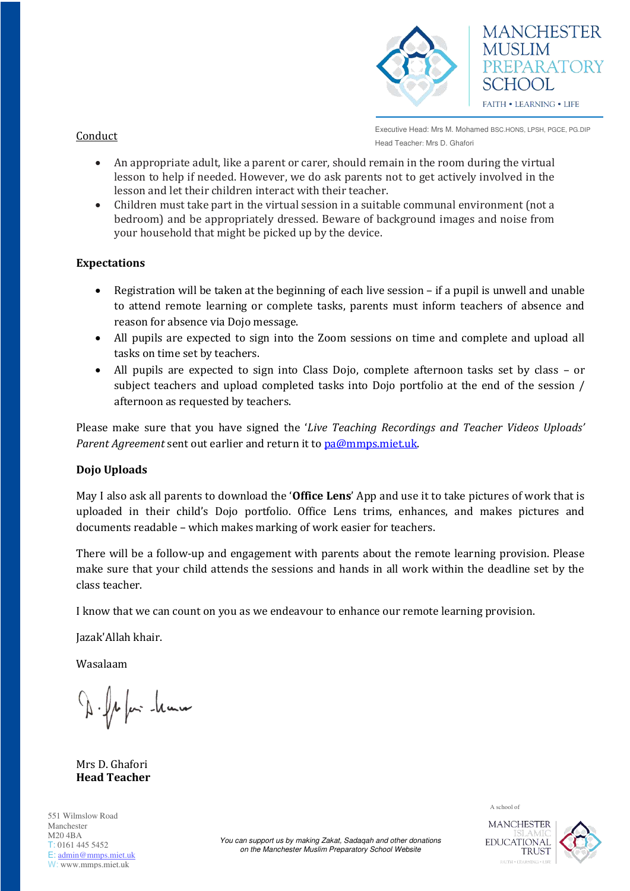

Executive Head: Mrs M. Mohamed BSC.HONS, LPSH, PGCE, PG.DIP Head Teacher: Mrs D. Ghafori

- An appropriate adult, like a parent or carer, should remain in the room during the virtual lesson to help if needed. However, we do ask parents not to get actively involved in the lesson and let their children interact with their teacher.
- Children must take part in the virtual session in a suitable communal environment (not a bedroom) and be appropriately dressed. Beware of background images and noise from your household that might be picked up by the device.

# **Expectations**

- Registration will be taken at the beginning of each live session if a pupil is unwell and unable to attend remote learning or complete tasks, parents must inform teachers of absence and reason for absence via Dojo message.
- All pupils are expected to sign into the Zoom sessions on time and complete and upload all tasks on time set by teachers.
- All pupils are expected to sign into Class Dojo, complete afternoon tasks set by class or subject teachers and upload completed tasks into Dojo portfolio at the end of the session / afternoon as requested by teachers.

Please make sure that you have signed the '*Live Teaching Recordings and Teacher Videos Uploads' Parent Agreement* sent out earlier and return it to pa@mmps.miet.uk.

### **Dojo Uploads**

May I also ask all parents to download the '**Office Lens**' App and use it to take pictures of work that is uploaded in their child's Dojo portfolio. Office Lens trims, enhances, and makes pictures and documents readable – which makes marking of work easier for teachers.

There will be a follow-up and engagement with parents about the remote learning provision. Please make sure that your child attends the sessions and hands in all work within the deadline set by the class teacher.

I know that we can count on you as we endeavour to enhance our remote learning provision.

Jazak'Allah khair.

Wasalaam

D. fafar han

Mrs D. Ghafori **Head Teacher** 

551 Wilmslow Road Manchester M20 4BA T: 0161 445 5452 E: [admin@mmps.miet.uk](mailto:admin@mmps.miet.uk) W: www.mmps.miet.uk

A school of



*You can support us by making Zakat, Sadaqah and other donations on the Manchester Muslim Preparatory School Website* 

Conduct